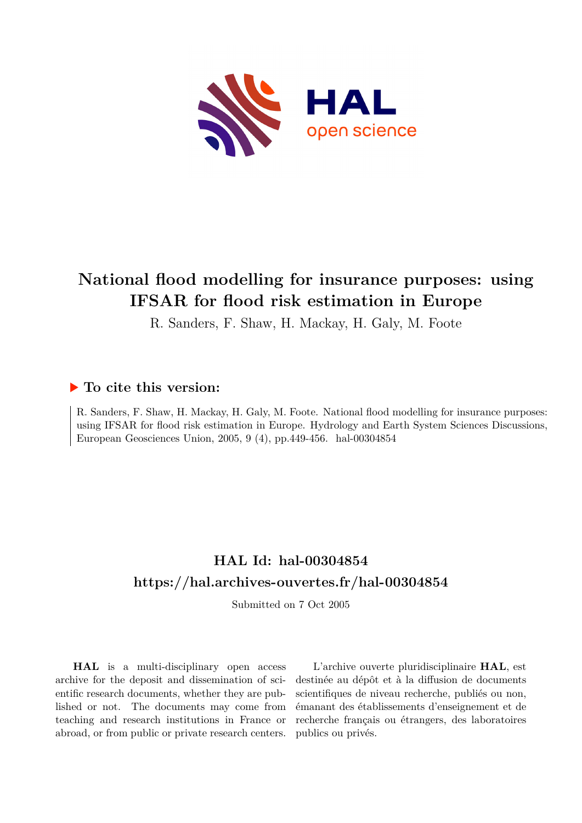

# **National flood modelling for insurance purposes: using IFSAR for flood risk estimation in Europe**

R. Sanders, F. Shaw, H. Mackay, H. Galy, M. Foote

# **To cite this version:**

R. Sanders, F. Shaw, H. Mackay, H. Galy, M. Foote. National flood modelling for insurance purposes: using IFSAR for flood risk estimation in Europe. Hydrology and Earth System Sciences Discussions, European Geosciences Union, 2005, 9  $(4)$ , pp.449-456. hal-00304854

# **HAL Id: hal-00304854 <https://hal.archives-ouvertes.fr/hal-00304854>**

Submitted on 7 Oct 2005

**HAL** is a multi-disciplinary open access archive for the deposit and dissemination of scientific research documents, whether they are published or not. The documents may come from teaching and research institutions in France or abroad, or from public or private research centers.

L'archive ouverte pluridisciplinaire **HAL**, est destinée au dépôt et à la diffusion de documents scientifiques de niveau recherche, publiés ou non, émanant des établissements d'enseignement et de recherche français ou étrangers, des laboratoires publics ou privés.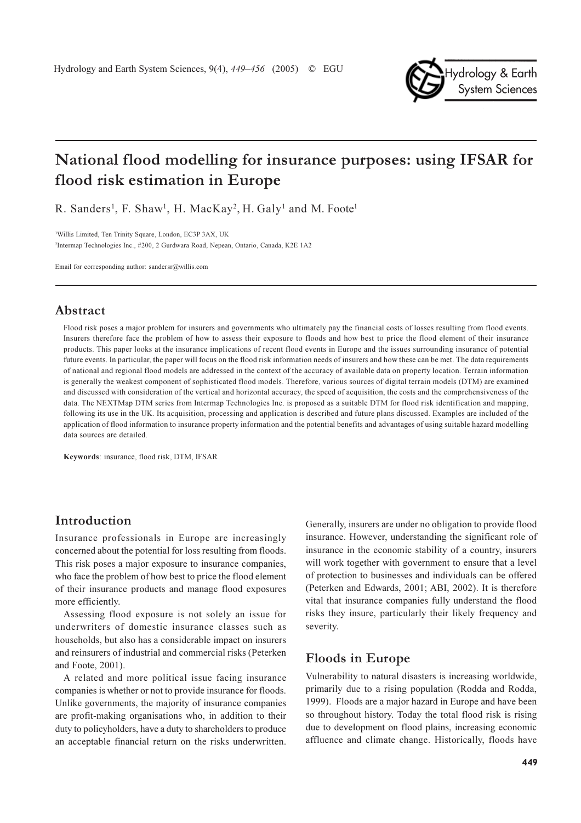

# National flood modelling for insurance purposes: using IFSAR for flood risk estimation in Europe

R. Sanders<sup>1</sup>, F. Shaw<sup>1</sup>, H. MacKay<sup>2</sup>, H. Galy<sup>1</sup> and M. Foote<sup>1</sup>

<sup>1</sup>Willis Limited, Ten Trinity Square, London, EC3P 3AX, UK <sup>2</sup>Intermap Technologies Inc., #200, 2 Gurdwara Road, Nepean, Ontario, Canada, K2E 1A2

Email for corresponding author: sandersr@willis.com

### Abstract

Flood risk poses a major problem for insurers and governments who ultimately pay the financial costs of losses resulting from flood events. Insurers therefore face the problem of how to assess their exposure to floods and how best to price the flood element of their insurance products. This paper looks at the insurance implications of recent flood events in Europe and the issues surrounding insurance of potential future events. In particular, the paper will focus on the flood risk information needs of insurers and how these can be met. The data requirements of national and regional flood models are addressed in the context of the accuracy of available data on property location. Terrain information is generally the weakest component of sophisticated flood models. Therefore, various sources of digital terrain models (DTM) are examined and discussed with consideration of the vertical and horizontal accuracy, the speed of acquisition, the costs and the comprehensiveness of the data. The NEXTMap DTM series from Intermap Technologies Inc. is proposed as a suitable DTM for flood risk identification and mapping, following its use in the UK. Its acquisition, processing and application is described and future plans discussed. Examples are included of the application of flood information to insurance property information and the potential benefits and advantages of using suitable hazard modelling data sources are detailed.

Keywords: insurance, flood risk, DTM, IFSAR

## Introduction

Insurance professionals in Europe are increasingly concerned about the potential for loss resulting from floods. This risk poses a major exposure to insurance companies, who face the problem of how best to price the flood element of their insurance products and manage flood exposures more efficiently.

Assessing flood exposure is not solely an issue for underwriters of domestic insurance classes such as households, but also has a considerable impact on insurers and reinsurers of industrial and commercial risks (Peterken and Foote, 2001).

A related and more political issue facing insurance companies is whether or not to provide insurance for floods. Unlike governments, the majority of insurance companies are profit-making organisations who, in addition to their duty to policyholders, have a duty to shareholders to produce an acceptable financial return on the risks underwritten.

Generally, insurers are under no obligation to provide flood insurance. However, understanding the significant role of insurance in the economic stability of a country, insurers will work together with government to ensure that a level of protection to businesses and individuals can be offered (Peterken and Edwards, 2001; ABI, 2002). It is therefore vital that insurance companies fully understand the flood risks they insure, particularly their likely frequency and severity.

## **Floods in Europe**

Vulnerability to natural disasters is increasing worldwide, primarily due to a rising population (Rodda and Rodda, 1999). Floods are a major hazard in Europe and have been so throughout history. Today the total flood risk is rising due to development on flood plains, increasing economic affluence and climate change. Historically, floods have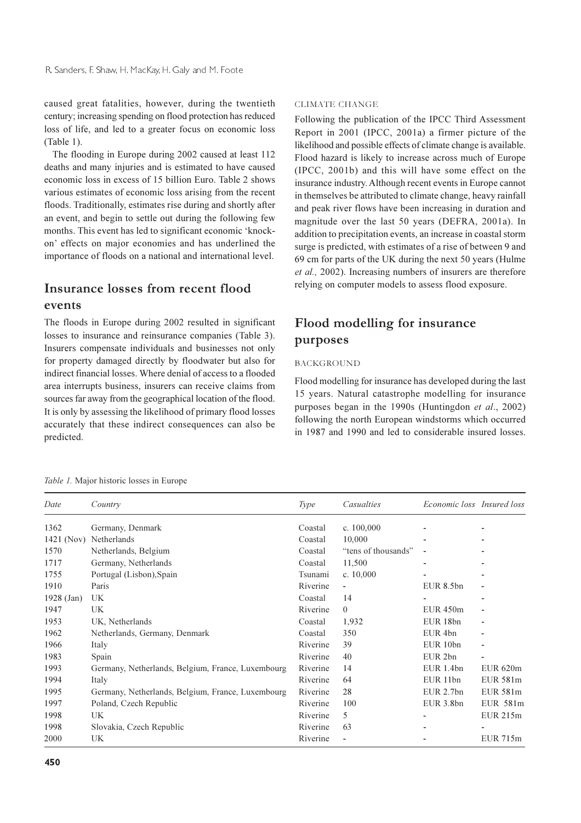caused great fatalities, however, during the twentieth century; increasing spending on flood protection has reduced loss of life, and led to a greater focus on economic loss  $(Table 1)$ .

The flooding in Europe during 2002 caused at least 112 deaths and many injuries and is estimated to have caused economic loss in excess of 15 billion Euro. Table 2 shows various estimates of economic loss arising from the recent floods. Traditionally, estimates rise during and shortly after an event, and begin to settle out during the following few months. This event has led to significant economic 'knockon' effects on major economies and has underlined the importance of floods on a national and international level.

# Insurance losses from recent flood events

The floods in Europe during 2002 resulted in significant losses to insurance and reinsurance companies (Table 3). Insurers compensate individuals and businesses not only for property damaged directly by floodwater but also for indirect financial losses. Where denial of access to a flooded area interrupts business, insurers can receive claims from sources far away from the geographical location of the flood. It is only by assessing the likelihood of primary flood losses accurately that these indirect consequences can also be predicted.

#### **CLIMATE CHANGE**

Following the publication of the IPCC Third Assessment Report in 2001 (IPCC, 2001a) a firmer picture of the likelihood and possible effects of climate change is available. Flood hazard is likely to increase across much of Europe (IPCC, 2001b) and this will have some effect on the insurance industry. Although recent events in Europe cannot in themselves be attributed to climate change, heavy rainfall and peak river flows have been increasing in duration and magnitude over the last 50 years (DEFRA, 2001a). In addition to precipitation events, an increase in coastal storm surge is predicted, with estimates of a rise of between 9 and 69 cm for parts of the UK during the next 50 years (Hulme et al., 2002). Increasing numbers of insurers are therefore relying on computer models to assess flood exposure.

# Flood modelling for insurance purposes

#### **BACKGROUND**

Flood modelling for insurance has developed during the last 15 years. Natural catastrophe modelling for insurance purposes began in the 1990s (Huntingdon et al., 2002) following the north European windstorms which occurred in 1987 and 1990 and led to considerable insured losses.

Table 1. Major historic losses in Europe

| Date       | Country                                           | Type     | Casualties               | Economic loss Insured loss |                 |
|------------|---------------------------------------------------|----------|--------------------------|----------------------------|-----------------|
| 1362       | Germany, Denmark                                  | Coastal  | c. $100,000$             |                            |                 |
| 1421 (Nov) | Netherlands                                       | Coastal  | 10,000                   |                            |                 |
| 1570       | Netherlands, Belgium                              | Coastal  | "tens of thousands"      | $\overline{\phantom{a}}$   |                 |
| 1717       | Germany, Netherlands                              | Coastal  | 11,500                   |                            |                 |
| 1755       | Portugal (Lisbon), Spain                          | Tsunami  | c. $10,000$              |                            |                 |
| 1910       | Paris                                             | Riverine |                          | EUR 8.5bn                  |                 |
| 1928 (Jan) | UK                                                | Coastal  | 14                       |                            |                 |
| 1947       | UK                                                | Riverine | $\theta$                 | <b>EUR 450m</b>            |                 |
| 1953       | UK, Netherlands                                   | Coastal  | 1,932                    | EUR 18bn                   | ٠               |
| 1962       | Netherlands, Germany, Denmark                     | Coastal  | 350                      | EUR <sub>4bn</sub>         |                 |
| 1966       | Italy                                             | Riverine | 39                       | EUR 10bn                   |                 |
| 1983       | Spain                                             | Riverine | 40                       | EUR <sub>2bn</sub>         |                 |
| 1993       | Germany, Netherlands, Belgium, France, Luxembourg | Riverine | 14                       | EUR 1.4bn                  | <b>EUR 620m</b> |
| 1994       | Italy                                             | Riverine | 64                       | EUR 11bn                   | <b>EUR 581m</b> |
| 1995       | Germany, Netherlands, Belgium, France, Luxembourg | Riverine | 28                       | $EUR$ 2.7 $bn$             | <b>EUR 581m</b> |
| 1997       | Poland, Czech Republic                            | Riverine | 100                      | EUR 3.8bn                  | EUR 581m        |
| 1998       | UK                                                | Riverine | 5                        |                            | <b>EUR 215m</b> |
| 1998       | Slovakia, Czech Republic                          | Riverine | 63                       |                            |                 |
| 2000       | UK                                                | Riverine | $\overline{\phantom{a}}$ |                            | EUR 715m        |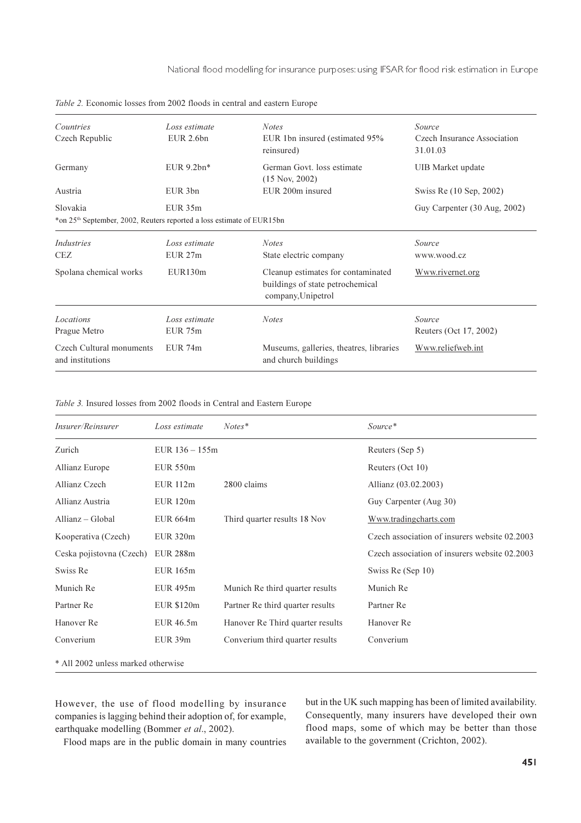National flood modelling for insurance purposes: using IFSAR for flood risk estimation in Europe

| Countries<br>Czech Republic                                                                                                                   | Loss estimate<br>EUR 2.6bn | <b>Notes</b><br>EUR 1bn insured (estimated 95%<br>reinsured)                                 | Source<br>Czech Insurance Association<br>31.01.03 |  |  |
|-----------------------------------------------------------------------------------------------------------------------------------------------|----------------------------|----------------------------------------------------------------------------------------------|---------------------------------------------------|--|--|
| Germany                                                                                                                                       | EUR $9.2bn*$               | German Govt, loss estimate<br>$(15$ Nov, 2002)                                               | UIB Market update                                 |  |  |
| Austria                                                                                                                                       | EUR 3bn                    | EUR 200m insured                                                                             | Swiss Re (10 Sep, 2002)                           |  |  |
| Slovakia<br>$EUR$ 35 $m$<br>Guy Carpenter (30 Aug, 2002)<br>*on 25 <sup>th</sup> September, 2002, Reuters reported a loss estimate of EUR15bn |                            |                                                                                              |                                                   |  |  |
| Industries<br><b>CEZ</b>                                                                                                                      | Loss estimate<br>EUR 27m   | <b>Notes</b><br>State electric company                                                       | Source<br>www.wood.cz                             |  |  |
| Spolana chemical works                                                                                                                        | EUR130m                    | Cleanup estimates for contaminated<br>buildings of state petrochemical<br>company, Unipetrol | Www.rivernet.org                                  |  |  |
| Locations<br>Prague Metro                                                                                                                     | Loss estimate<br>EUR 75m   | <b>Notes</b>                                                                                 | Source<br>Reuters (Oct 17, 2002)                  |  |  |
| Czech Cultural monuments<br>and institutions                                                                                                  | $EUR$ 74 $m$               | Museums, galleries, theatres, libraries<br>and church buildings                              | Www.reliefweb.int                                 |  |  |

Table 2. Economic losses from 2002 floods in central and eastern Europe

Table 3. Insured losses from 2002 floods in Central and Eastern Europe

| Insurer/Reinsurer                  | Loss estimate    | $Notes*$                         | Source*                                       |  |  |  |
|------------------------------------|------------------|----------------------------------|-----------------------------------------------|--|--|--|
| Zurich                             | EUR $136 - 155m$ |                                  | Reuters (Sep 5)                               |  |  |  |
| <b>Allianz Europe</b>              | <b>EUR 550m</b>  |                                  | Reuters (Oct 10)                              |  |  |  |
| Allianz Czech                      | <b>EUR 112m</b>  | 2800 claims                      | Allianz (03.02.2003)                          |  |  |  |
| Allianz Austria                    | <b>EUR 120m</b>  |                                  | Guy Carpenter (Aug 30)                        |  |  |  |
| Allianz - Global                   | <b>EUR 664m</b>  | Third quarter results 18 Nov     | Www.tradingcharts.com                         |  |  |  |
| Kooperativa (Czech)                | <b>EUR 320m</b>  |                                  | Czech association of insurers website 02.2003 |  |  |  |
| Ceska pojistovna (Czech)           | <b>EUR 288m</b>  |                                  | Czech association of insurers website 02.2003 |  |  |  |
| Swiss Re                           | <b>EUR 165m</b>  |                                  | Swiss Re (Sep 10)                             |  |  |  |
| Munich Re                          | <b>EUR 495m</b>  | Munich Re third quarter results  | Munich Re                                     |  |  |  |
| Partner Re                         | EUR \$120m       | Partner Re third quarter results | Partner Re                                    |  |  |  |
| Hanover Re                         | EUR 46.5m        | Hanover Re Third quarter results | Hanover Re                                    |  |  |  |
| Converium                          | EUR 39m          | Converium third quarter results  | Converium                                     |  |  |  |
| * All 2002 unless marked otherwise |                  |                                  |                                               |  |  |  |

However, the use of flood modelling by insurance companies is lagging behind their adoption of, for example, earthquake modelling (Bommer et al., 2002).

but in the UK such mapping has been of limited availability. Consequently, many insurers have developed their own flood maps, some of which may be better than those available to the government (Crichton, 2002).

Flood maps are in the public domain in many countries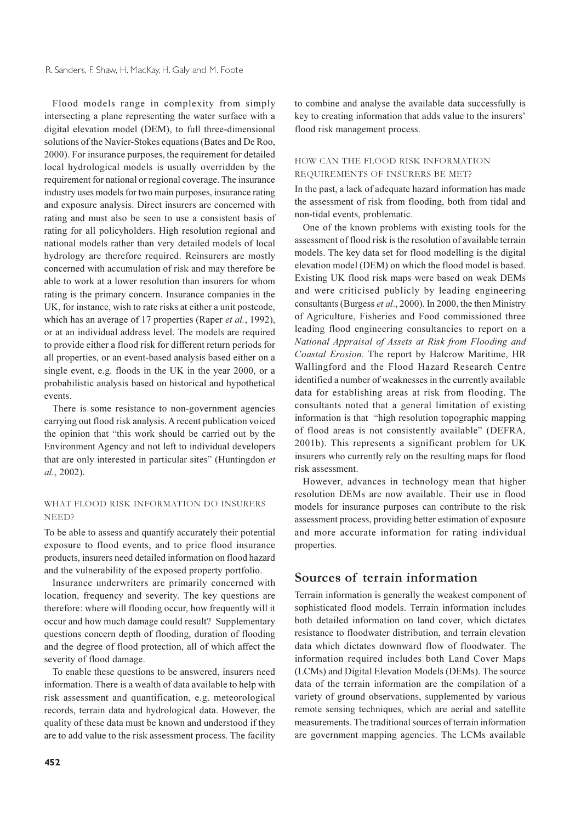Flood models range in complexity from simply intersecting a plane representing the water surface with a digital elevation model (DEM), to full three-dimensional solutions of the Navier-Stokes equations (Bates and De Roo, 2000). For insurance purposes, the requirement for detailed local hydrological models is usually overridden by the requirement for national or regional coverage. The insurance industry uses models for two main purposes, insurance rating and exposure analysis. Direct insurers are concerned with rating and must also be seen to use a consistent basis of rating for all policyholders. High resolution regional and national models rather than very detailed models of local hydrology are therefore required. Reinsurers are mostly concerned with accumulation of risk and may therefore be able to work at a lower resolution than insurers for whom rating is the primary concern. Insurance companies in the UK, for instance, wish to rate risks at either a unit postcode. which has an average of 17 properties (Raper et al., 1992), or at an individual address level. The models are required to provide either a flood risk for different return periods for all properties, or an event-based analysis based either on a single event, e.g. floods in the UK in the year 2000, or a probabilistic analysis based on historical and hypothetical events.

There is some resistance to non-government agencies carrying out flood risk analysis. A recent publication voiced the opinion that "this work should be carried out by the Environment Agency and not left to individual developers that are only interested in particular sites" (Huntingdon et al., 2002).

### WHAT FLOOD RISK INFORMATION DO INSURERS NEED?

To be able to assess and quantify accurately their potential exposure to flood events, and to price flood insurance products, insurers need detailed information on flood hazard and the vulnerability of the exposed property portfolio.

Insurance underwriters are primarily concerned with location, frequency and severity. The key questions are therefore: where will flooding occur, how frequently will it occur and how much damage could result? Supplementary questions concern depth of flooding, duration of flooding and the degree of flood protection, all of which affect the severity of flood damage.

To enable these questions to be answered, insurers need information. There is a wealth of data available to help with risk assessment and quantification, e.g. meteorological records, terrain data and hydrological data. However, the quality of these data must be known and understood if they are to add value to the risk assessment process. The facility to combine and analyse the available data successfully is key to creating information that adds value to the insurers' flood risk management process.

#### HOW CAN THE FLOOD RISK INFORMATION REQUIREMENTS OF INSURERS BE MET?

In the past, a lack of adequate hazard information has made the assessment of risk from flooding, both from tidal and non-tidal events, problematic.

One of the known problems with existing tools for the assessment of flood risk is the resolution of available terrain models. The key data set for flood modelling is the digital elevation model (DEM) on which the flood model is based. Existing UK flood risk maps were based on weak DEMs and were criticised publicly by leading engineering consultants (Burgess et al., 2000). In 2000, the then Ministry of Agriculture, Fisheries and Food commissioned three leading flood engineering consultancies to report on a National Appraisal of Assets at Risk from Flooding and Coastal Erosion. The report by Halcrow Maritime, HR Wallingford and the Flood Hazard Research Centre identified a number of weaknesses in the currently available data for establishing areas at risk from flooding. The consultants noted that a general limitation of existing information is that "high resolution topographic mapping of flood areas is not consistently available" (DEFRA, 2001b). This represents a significant problem for UK insurers who currently rely on the resulting maps for flood risk assessment.

However, advances in technology mean that higher resolution DEMs are now available. Their use in flood models for insurance purposes can contribute to the risk assessment process, providing better estimation of exposure and more accurate information for rating individual properties.

## Sources of terrain information

Terrain information is generally the weakest component of sophisticated flood models. Terrain information includes both detailed information on land cover, which dictates resistance to floodwater distribution, and terrain elevation data which dictates downward flow of floodwater. The information required includes both Land Cover Maps (LCMs) and Digital Elevation Models (DEMs). The source data of the terrain information are the compilation of a variety of ground observations, supplemented by various remote sensing techniques, which are aerial and satellite measurements. The traditional sources of terrain information are government mapping agencies. The LCMs available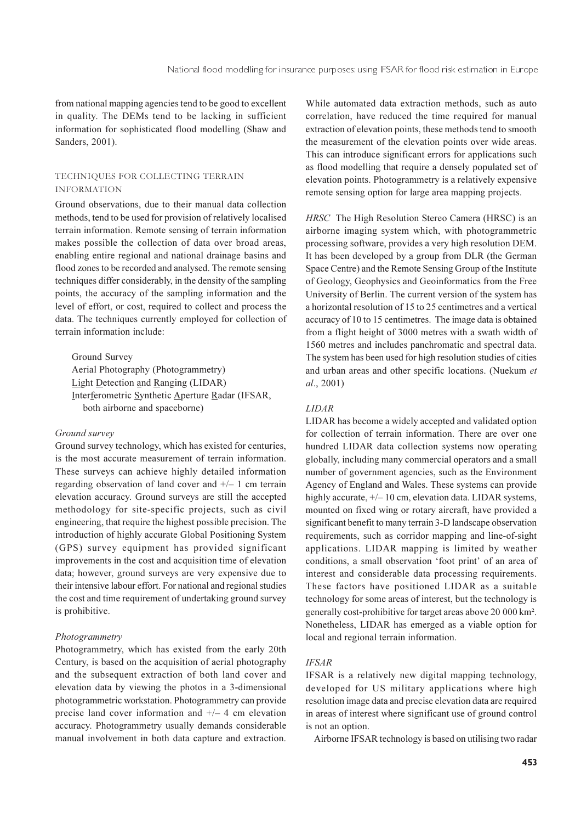from national mapping agencies tend to be good to excellent in quality. The DEMs tend to be lacking in sufficient information for sophisticated flood modelling (Shaw and Sanders, 2001).

### TECHNIQUES FOR COLLECTING TERRAIN **INFORMATION**

Ground observations, due to their manual data collection methods, tend to be used for provision of relatively localised terrain information. Remote sensing of terrain information makes possible the collection of data over broad areas, enabling entire regional and national drainage basins and flood zones to be recorded and analysed. The remote sensing techniques differ considerably, in the density of the sampling points, the accuracy of the sampling information and the level of effort, or cost, required to collect and process the data. The techniques currently employed for collection of terrain information include:

Ground Survey Aerial Photography (Photogrammetry) **Light Detection and Ranging (LIDAR)** Interferometric Synthetic Aperture Radar (IFSAR, both airborne and spaceborne)

#### Ground survey

Ground survey technology, which has existed for centuries, is the most accurate measurement of terrain information. These surveys can achieve highly detailed information regarding observation of land cover and  $+/- 1$  cm terrain elevation accuracy. Ground surveys are still the accepted methodology for site-specific projects, such as civil engineering, that require the highest possible precision. The introduction of highly accurate Global Positioning System (GPS) survey equipment has provided significant improvements in the cost and acquisition time of elevation data: however, ground surveys are very expensive due to their intensive labour effort. For national and regional studies the cost and time requirement of undertaking ground survey is prohibitive.

#### Photogrammetry

Photogrammetry, which has existed from the early 20th Century, is based on the acquisition of aerial photography and the subsequent extraction of both land cover and elevation data by viewing the photos in a 3-dimensional photogrammetric workstation. Photogrammetry can provide precise land cover information and  $+/- 4$  cm elevation accuracy. Photogrammetry usually demands considerable manual involvement in both data capture and extraction.

While automated data extraction methods, such as auto correlation, have reduced the time required for manual extraction of elevation points, these methods tend to smooth the measurement of the elevation points over wide areas. This can introduce significant errors for applications such as flood modelling that require a densely populated set of elevation points. Photogrammetry is a relatively expensive remote sensing option for large area mapping projects.

HRSC The High Resolution Stereo Camera (HRSC) is an airborne imaging system which, with photogrammetric processing software, provides a very high resolution DEM. It has been developed by a group from DLR (the German Space Centre) and the Remote Sensing Group of the Institute of Geology, Geophysics and Geoinformatics from the Free University of Berlin. The current version of the system has a horizontal resolution of 15 to 25 centimetres and a vertical accuracy of 10 to 15 centimetres. The image data is obtained from a flight height of 3000 metres with a swath width of 1560 metres and includes panchromatic and spectral data. The system has been used for high resolution studies of cities and urban areas and other specific locations. (Nuekum et  $al., 2001)$ 

#### **LIDAR**

LIDAR has become a widely accepted and validated option for collection of terrain information. There are over one hundred LIDAR data collection systems now operating globally, including many commercial operators and a small number of government agencies, such as the Environment Agency of England and Wales. These systems can provide highly accurate,  $+/-10$  cm, elevation data. LIDAR systems, mounted on fixed wing or rotary aircraft, have provided a significant benefit to many terrain 3-D landscape observation requirements, such as corridor mapping and line-of-sight applications. LIDAR mapping is limited by weather conditions, a small observation 'foot print' of an area of interest and considerable data processing requirements. These factors have positioned LIDAR as a suitable technology for some areas of interest, but the technology is generally cost-prohibitive for target areas above 20 000 km<sup>2</sup>. Nonetheless, LIDAR has emerged as a viable option for local and regional terrain information.

#### **IFSAR**

IFSAR is a relatively new digital mapping technology, developed for US military applications where high resolution image data and precise elevation data are required in areas of interest where significant use of ground control is not an option.

Airborne IFSAR technology is based on utilising two radar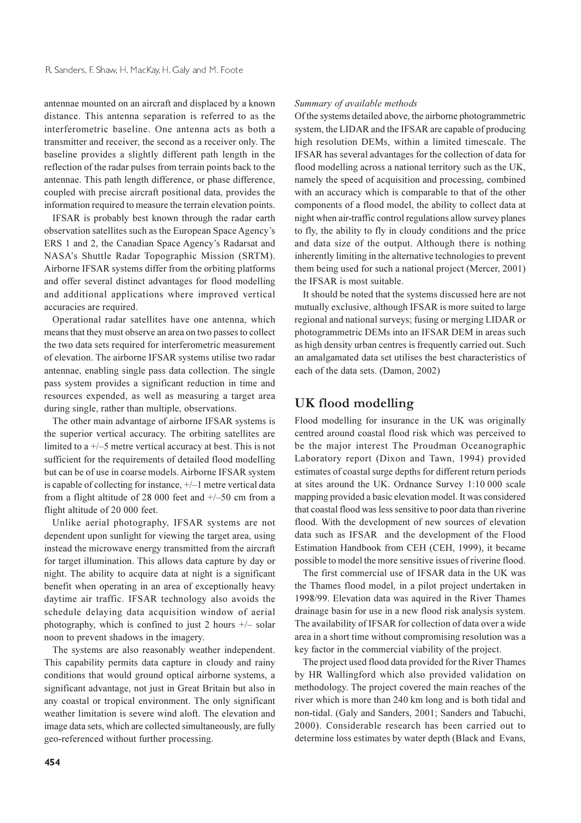antennae mounted on an aircraft and displaced by a known distance. This antenna separation is referred to as the interferometric baseline. One antenna acts as both a transmitter and receiver, the second as a receiver only. The baseline provides a slightly different path length in the reflection of the radar pulses from terrain points back to the antennae. This path length difference, or phase difference, coupled with precise aircraft positional data, provides the information required to measure the terrain elevation points.

IFSAR is probably best known through the radar earth observation satellites such as the European Space Agency's ERS 1 and 2, the Canadian Space Agency's Radarsat and NASA's Shuttle Radar Topographic Mission (SRTM). Airborne IFSAR systems differ from the orbiting platforms and offer several distinct advantages for flood modelling and additional applications where improved vertical accuracies are required.

Operational radar satellites have one antenna, which means that they must observe an area on two passes to collect the two data sets required for interferometric measurement of elevation. The airborne IFSAR systems utilise two radar antennae, enabling single pass data collection. The single pass system provides a significant reduction in time and resources expended, as well as measuring a target area during single, rather than multiple, observations.

The other main advantage of airborne IFSAR systems is the superior vertical accuracy. The orbiting satellites are limited to a  $+\frac{1}{5}$  metre vertical accuracy at best. This is not sufficient for the requirements of detailed flood modelling but can be of use in coarse models. Airborne IFSAR system is capable of collecting for instance,  $+/-1$  metre vertical data from a flight altitude of 28 000 feet and  $+/-50$  cm from a flight altitude of 20 000 feet.

Unlike aerial photography, IFSAR systems are not dependent upon sunlight for viewing the target area, using instead the microwave energy transmitted from the aircraft for target illumination. This allows data capture by day or night. The ability to acquire data at night is a significant benefit when operating in an area of exceptionally heavy daytime air traffic. IFSAR technology also avoids the schedule delaying data acquisition window of aerial photography, which is confined to just 2 hours  $+/-$  solar noon to prevent shadows in the imagery.

The systems are also reasonably weather independent. This capability permits data capture in cloudy and rainy conditions that would ground optical airborne systems, a significant advantage, not just in Great Britain but also in any coastal or tropical environment. The only significant weather limitation is severe wind aloft. The elevation and image data sets, which are collected simultaneously, are fully geo-referenced without further processing.

#### Summary of available methods

Of the systems detailed above, the airborne photogrammetric system, the LIDAR and the IFSAR are capable of producing high resolution DEMs, within a limited timescale. The IFSAR has several advantages for the collection of data for flood modelling across a national territory such as the UK. namely the speed of acquisition and processing, combined with an accuracy which is comparable to that of the other components of a flood model, the ability to collect data at night when air-traffic control regulations allow survey planes to fly, the ability to fly in cloudy conditions and the price and data size of the output. Although there is nothing inherently limiting in the alternative technologies to prevent them being used for such a national project (Mercer, 2001) the IFSAR is most suitable.

It should be noted that the systems discussed here are not mutually exclusive, although IFSAR is more suited to large regional and national surveys; fusing or merging LIDAR or photogrammetric DEMs into an IFSAR DEM in areas such as high density urban centres is frequently carried out. Such an amalgamated data set utilises the best characteristics of each of the data sets. (Damon, 2002)

## UK flood modelling

Flood modelling for insurance in the UK was originally centred around coastal flood risk which was perceived to be the major interest The Proudman Oceanographic Laboratory report (Dixon and Tawn, 1994) provided estimates of coastal surge depths for different return periods at sites around the UK. Ordnance Survey 1:10 000 scale mapping provided a basic elevation model. It was considered that coastal flood was less sensitive to poor data than riverine flood. With the development of new sources of elevation data such as IFSAR and the development of the Flood Estimation Handbook from CEH (CEH, 1999), it became possible to model the more sensitive issues of riverine flood.

The first commercial use of IFSAR data in the UK was the Thames flood model, in a pilot project undertaken in 1998/99. Elevation data was aquired in the River Thames drainage basin for use in a new flood risk analysis system. The availability of IFSAR for collection of data over a wide area in a short time without compromising resolution was a key factor in the commercial viability of the project.

The project used flood data provided for the River Thames by HR Wallingford which also provided validation on methodology. The project covered the main reaches of the river which is more than 240 km long and is both tidal and non-tidal. (Galy and Sanders, 2001; Sanders and Tabuchi, 2000). Considerable research has been carried out to determine loss estimates by water depth (Black and Evans,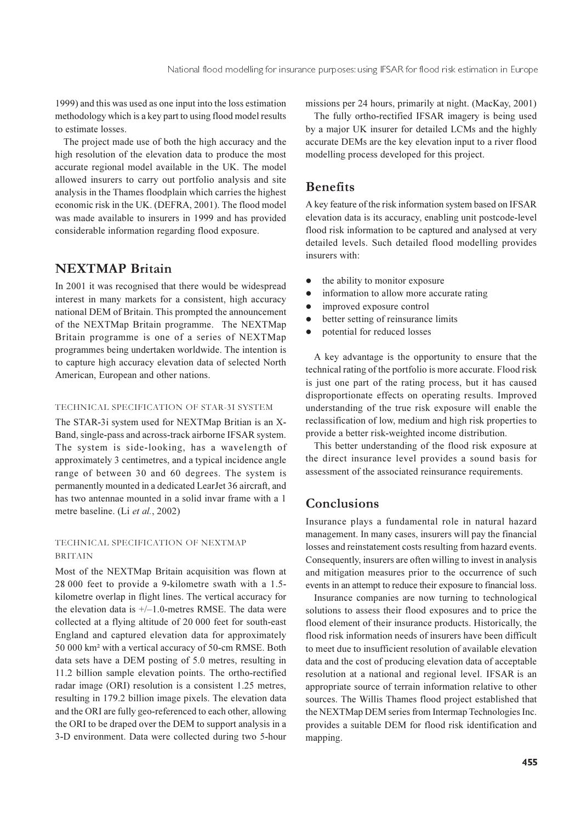1999) and this was used as one input into the loss estimation methodology which is a key part to using flood model results to estimate losses.

The project made use of both the high accuracy and the high resolution of the elevation data to produce the most accurate regional model available in the UK. The model allowed insurers to carry out portfolio analysis and site analysis in the Thames floodplain which carries the highest economic risk in the UK. (DEFRA, 2001). The flood model was made available to insurers in 1999 and has provided considerable information regarding flood exposure.

# **NEXTMAP Britain**

In 2001 it was recognised that there would be widespread interest in many markets for a consistent, high accuracy national DEM of Britain. This prompted the announcement of the NEXTMap Britain programme. The NEXTMap Britain programme is one of a series of NEXTMap programmes being undertaken worldwide. The intention is to capture high accuracy elevation data of selected North American, European and other nations.

#### TECHNICAL SPECIFICATION OF STAR-3I SYSTEM

The STAR-3i system used for NEXTMap Britian is an X-Band, single-pass and across-track airborne IFSAR system. The system is side-looking, has a wavelength of approximately 3 centimetres, and a typical incidence angle range of between 30 and 60 degrees. The system is permanently mounted in a dedicated LearJet 36 aircraft, and has two antennae mounted in a solid invar frame with a 1 metre baseline. (Li et al., 2002)

#### TECHNICAL SPECIFICATION OF NEXTMAP **BRITAIN**

Most of the NEXTMap Britain acquisition was flown at 28 000 feet to provide a 9-kilometre swath with a 1.5kilometre overlap in flight lines. The vertical accuracy for the elevation data is  $+/-1.0$ -metres RMSE. The data were collected at a flying altitude of 20 000 feet for south-east England and captured elevation data for approximately 50 000 km<sup>2</sup> with a vertical accuracy of 50-cm RMSE. Both data sets have a DEM posting of 5.0 metres, resulting in 11.2 billion sample elevation points. The ortho-rectified radar image (ORI) resolution is a consistent 1.25 metres, resulting in 179.2 billion image pixels. The elevation data and the ORI are fully geo-referenced to each other, allowing the ORI to be draped over the DEM to support analysis in a 3-D environment. Data were collected during two 5-hour missions per 24 hours, primarily at night. (MacKay, 2001)

The fully ortho-rectified IFSAR imagery is being used by a major UK insurer for detailed LCMs and the highly accurate DEMs are the key elevation input to a river flood modelling process developed for this project.

# **Benefits**

A key feature of the risk information system based on IFSAR elevation data is its accuracy, enabling unit postcode-level flood risk information to be captured and analysed at very detailed levels. Such detailed flood modelling provides insurers with:

- the ability to monitor exposure  $\bullet$
- information to allow more accurate rating
- improved exposure control  $\bullet$
- better setting of reinsurance limits  $\bullet$
- potential for reduced losses

A key advantage is the opportunity to ensure that the technical rating of the portfolio is more accurate. Flood risk is just one part of the rating process, but it has caused disproportionate effects on operating results. Improved understanding of the true risk exposure will enable the reclassification of low, medium and high risk properties to provide a better risk-weighted income distribution.

This better understanding of the flood risk exposure at the direct insurance level provides a sound basis for assessment of the associated reinsurance requirements.

## Conclusions

Insurance plays a fundamental role in natural hazard management. In many cases, insurers will pay the financial losses and reinstatement costs resulting from hazard events. Consequently, insurers are often willing to invest in analysis and mitigation measures prior to the occurrence of such events in an attempt to reduce their exposure to financial loss.

Insurance companies are now turning to technological solutions to assess their flood exposures and to price the flood element of their insurance products. Historically, the flood risk information needs of insurers have been difficult to meet due to insufficient resolution of available elevation data and the cost of producing elevation data of acceptable resolution at a national and regional level. IFSAR is an appropriate source of terrain information relative to other sources. The Willis Thames flood project established that the NEXTMap DEM series from Intermap Technologies Inc. provides a suitable DEM for flood risk identification and mapping.